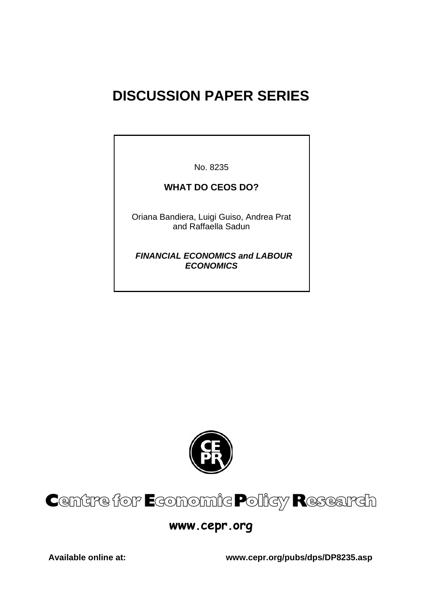# **DISCUSSION PAPER SERIES**

No. 8235

## **WHAT DO CEOS DO?**

Oriana Bandiera, Luigi Guiso, Andrea Prat and Raffaella Sadun

 *FINANCIAL ECONOMICS and LABOUR ECONOMICS* 



# Centre for Economic Policy Research

## **www.cepr.org**

**Available online at: www.cepr.org/pubs/dps/DP8235.asp**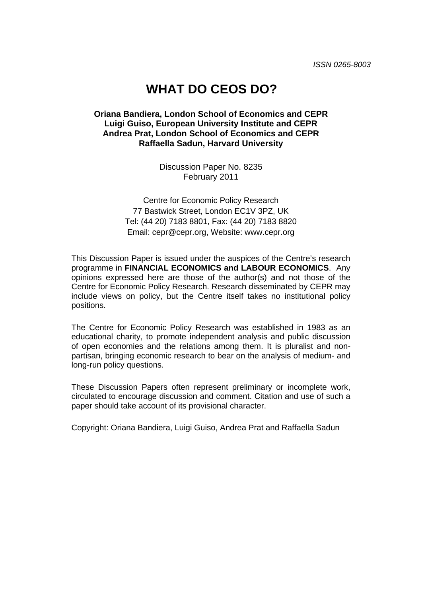*ISSN 0265-8003* 

## **WHAT DO CEOS DO?**

## **Oriana Bandiera, London School of Economics and CEPR Luigi Guiso, European University Institute and CEPR Andrea Prat, London School of Economics and CEPR Raffaella Sadun, Harvard University**

Discussion Paper No. 8235 February 2011

Centre for Economic Policy Research 77 Bastwick Street, London EC1V 3PZ, UK Tel: (44 20) 7183 8801, Fax: (44 20) 7183 8820 Email: cepr@cepr.org, Website: www.cepr.org

This Discussion Paper is issued under the auspices of the Centre's research programme in **FINANCIAL ECONOMICS and LABOUR ECONOMICS**. Any opinions expressed here are those of the author(s) and not those of the Centre for Economic Policy Research. Research disseminated by CEPR may include views on policy, but the Centre itself takes no institutional policy positions.

The Centre for Economic Policy Research was established in 1983 as an educational charity, to promote independent analysis and public discussion of open economies and the relations among them. It is pluralist and nonpartisan, bringing economic research to bear on the analysis of medium- and long-run policy questions.

These Discussion Papers often represent preliminary or incomplete work, circulated to encourage discussion and comment. Citation and use of such a paper should take account of its provisional character.

Copyright: Oriana Bandiera, Luigi Guiso, Andrea Prat and Raffaella Sadun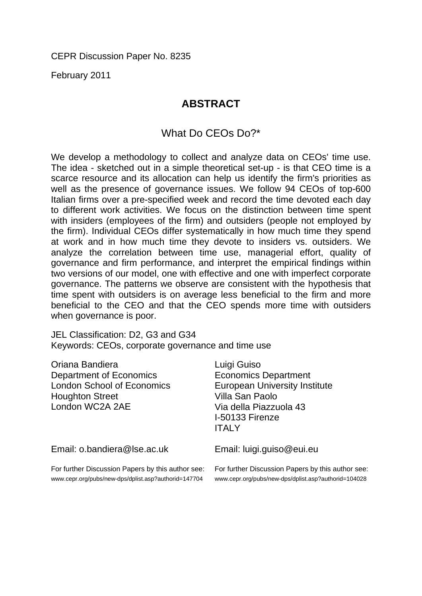CEPR Discussion Paper No. 8235

February 2011

## **ABSTRACT**

## What Do CEOs Do?\*

We develop a methodology to collect and analyze data on CEOs' time use. The idea - sketched out in a simple theoretical set-up - is that CEO time is a scarce resource and its allocation can help us identify the firm's priorities as well as the presence of governance issues. We follow 94 CEOs of top-600 Italian firms over a pre-specified week and record the time devoted each day to different work activities. We focus on the distinction between time spent with insiders (employees of the firm) and outsiders (people not employed by the firm). Individual CEOs differ systematically in how much time they spend at work and in how much time they devote to insiders vs. outsiders. We analyze the correlation between time use, managerial effort, quality of governance and firm performance, and interpret the empirical findings within two versions of our model, one with effective and one with imperfect corporate governance. The patterns we observe are consistent with the hypothesis that time spent with outsiders is on average less beneficial to the firm and more beneficial to the CEO and that the CEO spends more time with outsiders when governance is poor.

JEL Classification: D2, G3 and G34 Keywords: CEOs, corporate governance and time use

| Oriana Bandiera<br>Department of Economics<br><b>London School of Economics</b><br><b>Houghton Street</b><br>London WC2A 2AE | Luigi Guiso<br><b>Economics Department</b><br><b>European University Institute</b><br>Villa San Paolo<br>Via della Piazzuola 43 |
|------------------------------------------------------------------------------------------------------------------------------|---------------------------------------------------------------------------------------------------------------------------------|
|                                                                                                                              | I-50133 Firenze<br><b>ITALY</b>                                                                                                 |
| Email: o.bandiera@lse.ac.uk                                                                                                  | Email: luigi.guiso@eui.eu                                                                                                       |
| For further Discussion Papers by this author see:                                                                            | For further Discussion Papers by this autho                                                                                     |

www.cepr.org/pubs/new-dps/dplist.asp?authorid=147704

For further Discussion Papers by this author see: www.cepr.org/pubs/new-dps/dplist.asp?authorid=104028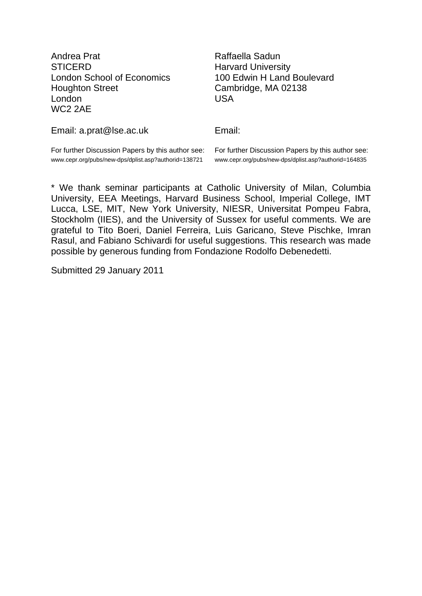Andrea Prat **STICERD** London School of Economics Houghton Street London WC2 2AE

Raffaella Sadun Harvard University 100 Edwin H Land Boulevard Cambridge, MA 02138 USA

Email: a.prat@lse.ac.uk

Email:

For further Discussion Papers by this author see: www.cepr.org/pubs/new-dps/dplist.asp?authorid=138721

For further Discussion Papers by this author see: www.cepr.org/pubs/new-dps/dplist.asp?authorid=164835

\* We thank seminar participants at Catholic University of Milan, Columbia University, EEA Meetings, Harvard Business School, Imperial College, IMT Lucca, LSE, MIT, New York University, NIESR, Universitat Pompeu Fabra, Stockholm (IIES), and the University of Sussex for useful comments. We are grateful to Tito Boeri, Daniel Ferreira, Luis Garicano, Steve Pischke, Imran Rasul, and Fabiano Schivardi for useful suggestions. This research was made possible by generous funding from Fondazione Rodolfo Debenedetti.

Submitted 29 January 2011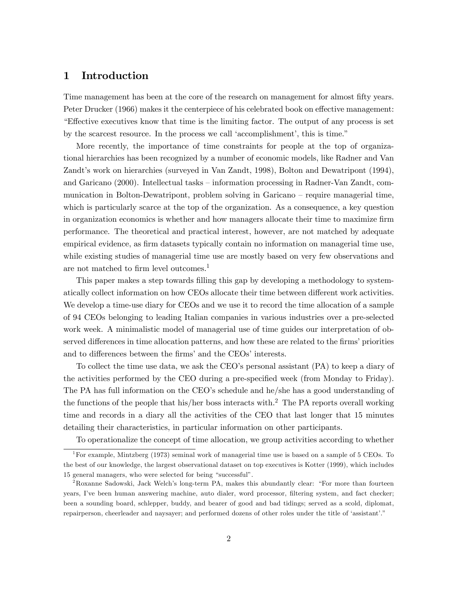## 1 Introduction

Time management has been at the core of the research on management for almost fifty years. Peter Drucker (1966) makes it the centerpiece of his celebrated book on effective management: ìE§ective executives know that time is the limiting factor. The output of any process is set by the scarcest resource. In the process we call 'accomplishment', this is time."

More recently, the importance of time constraints for people at the top of organizational hierarchies has been recognized by a number of economic models, like Radner and Van Zandt's work on hierarchies (surveyed in Van Zandt, 1998), Bolton and Dewatripont (1994), and Garicano (2000). Intellectual tasks – information processing in Radner-Van Zandt, communication in Bolton-Dewatripont, problem solving in Garicano – require managerial time, which is particularly scarce at the top of the organization. As a consequence, a key question in organization economics is whether and how managers allocate their time to maximize firm performance. The theoretical and practical interest, however, are not matched by adequate empirical evidence, as firm datasets typically contain no information on managerial time use, while existing studies of managerial time use are mostly based on very few observations and are not matched to firm level outcomes.<sup>1</sup>

This paper makes a step towards filling this gap by developing a methodology to systematically collect information on how CEOs allocate their time between different work activities. We develop a time-use diary for CEOs and we use it to record the time allocation of a sample of 94 CEOs belonging to leading Italian companies in various industries over a pre-selected work week. A minimalistic model of managerial use of time guides our interpretation of observed differences in time allocation patterns, and how these are related to the firms' priorities and to differences between the firms' and the CEOs' interests.

To collect the time use data, we ask the CEO's personal assistant (PA) to keep a diary of the activities performed by the CEO during a pre-specified week (from Monday to Friday). The PA has full information on the CEO's schedule and he/she has a good understanding of the functions of the people that his/her boss interacts with.<sup>2</sup> The PA reports overall working time and records in a diary all the activities of the CEO that last longer that 15 minutes detailing their characteristics, in particular information on other participants.

To operationalize the concept of time allocation, we group activities according to whether

<sup>1</sup>For example, Mintzberg (1973) seminal work of managerial time use is based on a sample of 5 CEOs. To the best of our knowledge, the largest observational dataset on top executives is Kotter (1999), which includes 15 general managers, who were selected for being "successful".

<sup>&</sup>lt;sup>2</sup>Roxanne Sadowski, Jack Welch's long-term PA, makes this abundantly clear: "For more than fourteen years, I've been human answering machine, auto dialer, word processor, filtering system, and fact checker; been a sounding board, schlepper, buddy, and bearer of good and bad tidings; served as a scold, diplomat, repairperson, cheerleader and naysayer; and performed dozens of other roles under the title of 'assistant'."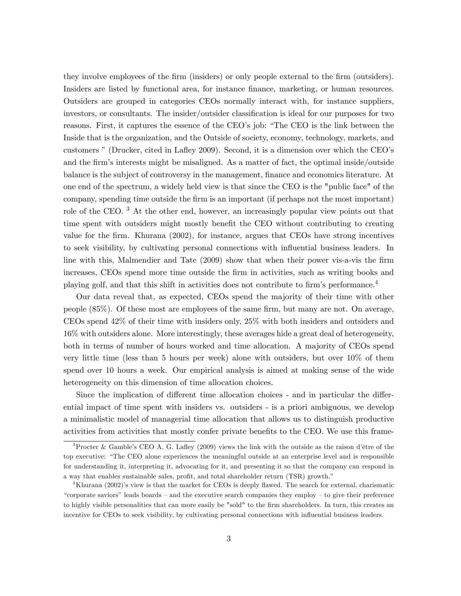they involve employees of the firm (insiders) or only people external to the firm (outsiders). Insiders are listed by functional area, for instance finance, marketing, or human resources. Outsiders are grouped in categories CEOs normally interact with, for instance suppliers, investors, or consultants. The insider/outsider classification is ideal for our purposes for two reasons. First, it captures the essence of the CEO's job: "The CEO is the link between the Inside that is the organization, and the Outside of society, economy, technology, markets, and customers " (Drucker, cited in Lafley 2009). Second, it is a dimension over which the CEO's and the firm's interests might be misaligned. As a matter of fact, the optimal inside/outside balance is the subject of controversy in the management, finance and economics literature. At one end of the spectrum, a widely held view is that since the CEO is the "public face" of the company, spending time outside the Örm is an important (if perhaps not the most important) role of the CEO.<sup>3</sup> At the other end, however, an increasingly popular view points out that time spent with outsiders might mostly benefit the CEO without contributing to creating value for the Örm. Khurana (2002), for instance, argues that CEOs have strong incentives to seek visibility, by cultivating personal connections with influential business leaders. In line with this, Malmendier and Tate (2009) show that when their power vis-a-vis the firm increases, CEOs spend more time outside the Örm in activities, such as writing books and playing golf, and that this shift in activities does not contribute to firm's performance.<sup>4</sup>

Our data reveal that, as expected, CEOs spend the majority of their time with other people  $(85\%)$ . Of these most are employees of the same firm, but many are not. On average, CEOs spend 42% of their time with insiders only, 25% with both insiders and outsiders and 16% with outsiders alone. More interestingly, these averages hide a great deal of heterogeneity, both in terms of number of hours worked and time allocation. A majority of CEOs spend very little time (less than 5 hours per week) alone with outsiders, but over 10% of them spend over 10 hours a week. Our empirical analysis is aimed at making sense of the wide heterogeneity on this dimension of time allocation choices.

Since the implication of different time allocation choices - and in particular the differential impact of time spent with insiders vs. outsiders - is a priori ambiguous, we develop a minimalistic model of managerial time allocation that allows us to distinguish productive activities from activities that mostly confer private benefits to the CEO. We use this frame-

 $3P$  Procter & Gamble's CEO A. G. Lafley (2009) views the link with the outside as the raison d'être of the top executive: "The CEO alone experiences the meaningful outside at an enterprise level and is responsible for understanding it, interpreting it, advocating for it, and presenting it so that the company can respond in a way that enables sustainable sales, profit, and total shareholder return (TSR) growth.<sup>n</sup>

<sup>&</sup>lt;sup>4</sup>Khurana (2002)'s view is that the market for CEOs is deeply flawed. The search for external, charismatic "corporate saviors" leads boards  $-$  and the executive search companies they employ  $-$  to give their preference to highly visible personalities that can more easily be "sold" to the firm shareholders. In turn, this creates an incentive for CEOs to seek visibility, by cultivating personal connections with ináuential business leaders.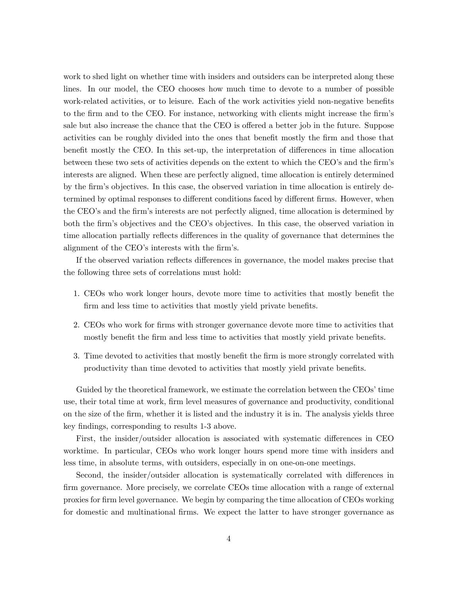work to shed light on whether time with insiders and outsiders can be interpreted along these lines. In our model, the CEO chooses how much time to devote to a number of possible work-related activities, or to leisure. Each of the work activities yield non-negative benefits to the firm and to the CEO. For instance, networking with clients might increase the firm's sale but also increase the chance that the CEO is offered a better job in the future. Suppose activities can be roughly divided into the ones that benefit mostly the firm and those that benefit mostly the CEO. In this set-up, the interpretation of differences in time allocation between these two sets of activities depends on the extent to which the CEO's and the firm's interests are aligned. When these are perfectly aligned, time allocation is entirely determined by the Örmís objectives. In this case, the observed variation in time allocation is entirely determined by optimal responses to different conditions faced by different firms. However, when the CEO's and the firm's interests are not perfectly aligned, time allocation is determined by both the firm's objectives and the CEO's objectives. In this case, the observed variation in time allocation partially reflects differences in the quality of governance that determines the alignment of the CEO's interests with the firm's.

If the observed variation reflects differences in governance, the model makes precise that the following three sets of correlations must hold:

- 1. CEOs who work longer hours, devote more time to activities that mostly benefit the firm and less time to activities that mostly yield private benefits.
- 2. CEOs who work for Örms with stronger governance devote more time to activities that mostly benefit the firm and less time to activities that mostly yield private benefits.
- 3. Time devoted to activities that mostly benefit the firm is more strongly correlated with productivity than time devoted to activities that mostly yield private benefits.

Guided by the theoretical framework, we estimate the correlation between the CEOs' time use, their total time at work, firm level measures of governance and productivity, conditional on the size of the Örm, whether it is listed and the industry it is in. The analysis yields three key findings, corresponding to results 1-3 above.

First, the insider/outsider allocation is associated with systematic differences in CEO worktime. In particular, CEOs who work longer hours spend more time with insiders and less time, in absolute terms, with outsiders, especially in on one-on-one meetings.

Second, the insider/outsider allocation is systematically correlated with differences in firm governance. More precisely, we correlate CEOs time allocation with a range of external proxies for Örm level governance. We begin by comparing the time allocation of CEOs working for domestic and multinational firms. We expect the latter to have stronger governance as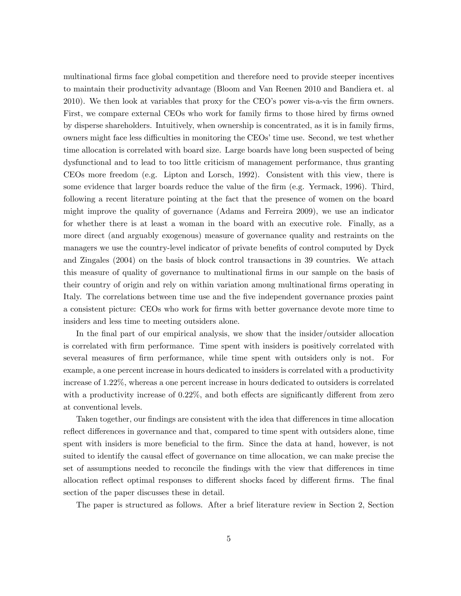multinational firms face global competition and therefore need to provide steeper incentives to maintain their productivity advantage (Bloom and Van Reenen 2010 and Bandiera et. al 2010). We then look at variables that proxy for the CEO's power vis-a-vis the firm owners. First, we compare external CEOs who work for family firms to those hired by firms owned by disperse shareholders. Intuitively, when ownership is concentrated, as it is in family firms, owners might face less difficulties in monitoring the CEOs' time use. Second, we test whether time allocation is correlated with board size. Large boards have long been suspected of being dysfunctional and to lead to too little criticism of management performance, thus granting CEOs more freedom (e.g. Lipton and Lorsch, 1992). Consistent with this view, there is some evidence that larger boards reduce the value of the firm (e.g. Yermack, 1996). Third, following a recent literature pointing at the fact that the presence of women on the board might improve the quality of governance (Adams and Ferreira 2009), we use an indicator for whether there is at least a woman in the board with an executive role. Finally, as a more direct (and arguably exogenous) measure of governance quality and restraints on the managers we use the country-level indicator of private benefits of control computed by Dyck and Zingales (2004) on the basis of block control transactions in 39 countries. We attach this measure of quality of governance to multinational firms in our sample on the basis of their country of origin and rely on within variation among multinational firms operating in Italy. The correlations between time use and the five independent governance proxies paint a consistent picture: CEOs who work for firms with better governance devote more time to insiders and less time to meeting outsiders alone.

In the final part of our empirical analysis, we show that the insider/outsider allocation is correlated with Örm performance. Time spent with insiders is positively correlated with several measures of firm performance, while time spent with outsiders only is not. For example, a one percent increase in hours dedicated to insiders is correlated with a productivity increase of 1.22%, whereas a one percent increase in hours dedicated to outsiders is correlated with a productivity increase of  $0.22\%$ , and both effects are significantly different from zero at conventional levels.

Taken together, our findings are consistent with the idea that differences in time allocation reflect differences in governance and that, compared to time spent with outsiders alone, time spent with insiders is more beneficial to the firm. Since the data at hand, however, is not suited to identify the causal effect of governance on time allocation, we can make precise the set of assumptions needed to reconcile the findings with the view that differences in time allocation reflect optimal responses to different shocks faced by different firms. The final section of the paper discusses these in detail.

The paper is structured as follows. After a brief literature review in Section 2, Section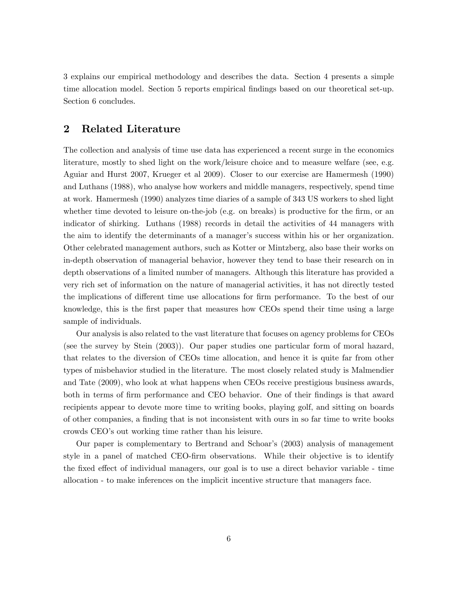3 explains our empirical methodology and describes the data. Section 4 presents a simple time allocation model. Section 5 reports empirical Öndings based on our theoretical set-up. Section 6 concludes.

## 2 Related Literature

The collection and analysis of time use data has experienced a recent surge in the economics literature, mostly to shed light on the work/leisure choice and to measure welfare (see, e.g. Aguiar and Hurst 2007, Krueger et al 2009). Closer to our exercise are Hamermesh (1990) and Luthans (1988), who analyse how workers and middle managers, respectively, spend time at work. Hamermesh (1990) analyzes time diaries of a sample of 343 US workers to shed light whether time devoted to leisure on-the-job (e.g. on breaks) is productive for the firm, or an indicator of shirking. Luthans (1988) records in detail the activities of 44 managers with the aim to identify the determinants of a manager's success within his or her organization. Other celebrated management authors, such as Kotter or Mintzberg, also base their works on in-depth observation of managerial behavior, however they tend to base their research on in depth observations of a limited number of managers. Although this literature has provided a very rich set of information on the nature of managerial activities, it has not directly tested the implications of different time use allocations for firm performance. To the best of our knowledge, this is the first paper that measures how CEOs spend their time using a large sample of individuals.

Our analysis is also related to the vast literature that focuses on agency problems for CEOs (see the survey by Stein (2003)). Our paper studies one particular form of moral hazard, that relates to the diversion of CEOs time allocation, and hence it is quite far from other types of misbehavior studied in the literature. The most closely related study is Malmendier and Tate (2009), who look at what happens when CEOs receive prestigious business awards, both in terms of firm performance and CEO behavior. One of their findings is that award recipients appear to devote more time to writing books, playing golf, and sitting on boards of other companies, a finding that is not inconsistent with ours in so far time to write books crowds CEOís out working time rather than his leisure.

Our paper is complementary to Bertrand and Schoarís (2003) analysis of management style in a panel of matched CEO-firm observations. While their objective is to identify the fixed effect of individual managers, our goal is to use a direct behavior variable - time allocation - to make inferences on the implicit incentive structure that managers face.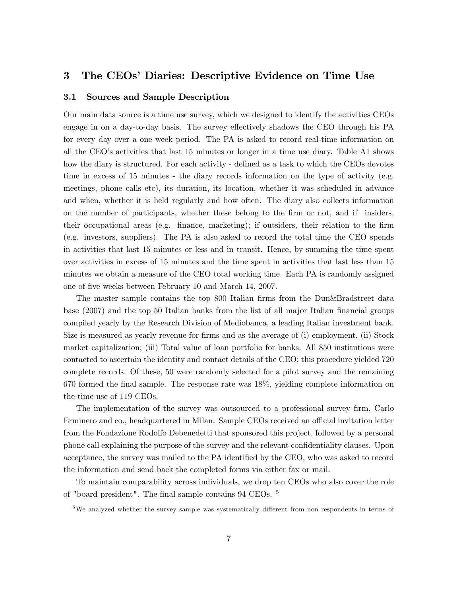#### 3 The CEOs' Diaries: Descriptive Evidence on Time Use

#### 3.1 Sources and Sample Description

Our main data source is a time use survey, which we designed to identify the activities CEOs engage in on a day-to-day basis. The survey effectively shadows the CEO through his PA for every day over a one week period. The PA is asked to record real-time information on all the CEO's activities that last 15 minutes or longer in a time use diary. Table A1 shows how the diary is structured. For each activity - defined as a task to which the CEOs devotes time in excess of 15 minutes - the diary records information on the type of activity (e.g. meetings, phone calls etc), its duration, its location, whether it was scheduled in advance and when, whether it is held regularly and how often. The diary also collects information on the number of participants, whether these belong to the Örm or not, and if insiders, their occupational areas (e.g. Önance, marketing); if outsiders, their relation to the Örm (e.g. investors, suppliers). The PA is also asked to record the total time the CEO spends in activities that last 15 minutes or less and in transit. Hence, by summing the time spent over activities in excess of 15 minutes and the time spent in activities that last less than 15 minutes we obtain a measure of the CEO total working time. Each PA is randomly assigned one of Öve weeks between February 10 and March 14, 2007.

The master sample contains the top 800 Italian firms from the Dun&Bradstreet data base  $(2007)$  and the top 50 Italian banks from the list of all major Italian financial groups compiled yearly by the Research Division of Mediobanca, a leading Italian investment bank. Size is measured as yearly revenue for firms and as the average of (i) employment, (ii) Stock market capitalization; (iii) Total value of loan portfolio for banks. All 850 institutions were contacted to ascertain the identity and contact details of the CEO; this procedure yielded 720 complete records. Of these, 50 were randomly selected for a pilot survey and the remaining 670 formed the Önal sample. The response rate was 18%, yielding complete information on the time use of 119 CEOs.

The implementation of the survey was outsourced to a professional survey firm, Carlo Erminero and co., headquartered in Milan. Sample CEOs received an official invitation letter from the Fondazione Rodolfo Debenedetti that sponsored this project, followed by a personal phone call explaining the purpose of the survey and the relevant confidentiality clauses. Upon acceptance, the survey was mailed to the PA identified by the CEO, who was asked to record the information and send back the completed forms via either fax or mail.

To maintain comparability across individuals, we drop ten CEOs who also cover the role of "board president". The final sample contains 94 CEOs. <sup>5</sup>

 $5$ We analyzed whether the survey sample was systematically different from non respondents in terms of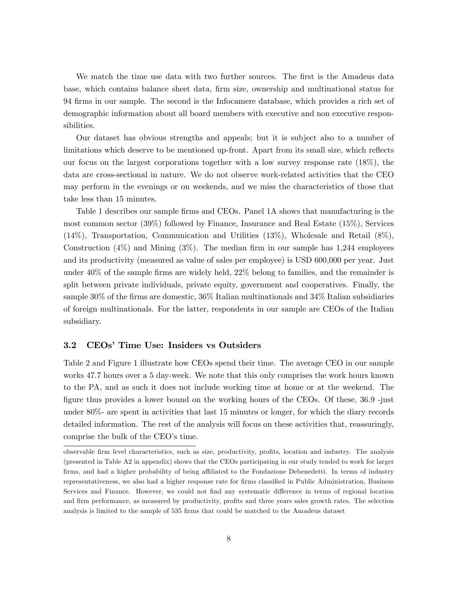We match the time use data with two further sources. The first is the Amadeus data base, which contains balance sheet data, Örm size, ownership and multinational status for 94 Örms in our sample. The second is the Infocamere database, which provides a rich set of demographic information about all board members with executive and non executive responsibilities.

Our dataset has obvious strengths and appeals; but it is subject also to a number of limitations which deserve to be mentioned up-front. Apart from its small size, which reflects our focus on the largest corporations together with a low survey response rate  $(18\%)$ , the data are cross-sectional in nature. We do not observe work-related activities that the CEO may perform in the evenings or on weekends, and we miss the characteristics of those that take less than 15 minutes.

Table 1 describes our sample firms and CEOs. Panel 1A shows that manufacturing is the most common sector (39%) followed by Finance, Insurance and Real Estate (15%), Services (14%), Transportation, Communication and Utilities (13%), Wholesale and Retail (8%), Construction  $(4\%)$  and Mining  $(3\%)$ . The median firm in our sample has 1,244 employees and its productivity (measured as value of sales per employee) is USD 600,000 per year. Just under  $40\%$  of the sample firms are widely held,  $22\%$  belong to families, and the remainder is split between private individuals, private equity, government and cooperatives. Finally, the sample 30% of the firms are domestic, 36% Italian multinationals and 34% Italian subsidiaries of foreign multinationals. For the latter, respondents in our sample are CEOs of the Italian subsidiary.

#### 3.2 CEOs' Time Use: Insiders vs Outsiders

Table 2 and Figure 1 illustrate how CEOs spend their time. The average CEO in our sample works 47.7 hours over a 5 day-week. We note that this only comprises the work hours known to the PA, and as such it does not include working time at home or at the weekend. The figure thus provides a lower bound on the working hours of the CEOs. Of these, 36.9 -just under 80%- are spent in activities that last 15 minutes or longer, for which the diary records detailed information. The rest of the analysis will focus on these activities that, reassuringly, comprise the bulk of the CEO's time.

observable firm level characteristics, such as size, productivity, profits, location and industry. The analysis (presented in Table A2 in appendix) shows that the CEOs participating in our study tended to work for larger firms, and had a higher probability of being affiliated to the Fondazione Debenedetti. In terms of industry representativeness, we also had a higher response rate for firms classified in Public Administration, Business Services and Finance. However, we could not find any systematic difference in terms of regional location and firm performance, as measured by productivity, profits and three years sales growth rates. The selection analysis is limited to the sample of 535 Örms that could be matched to the Amadeus dataset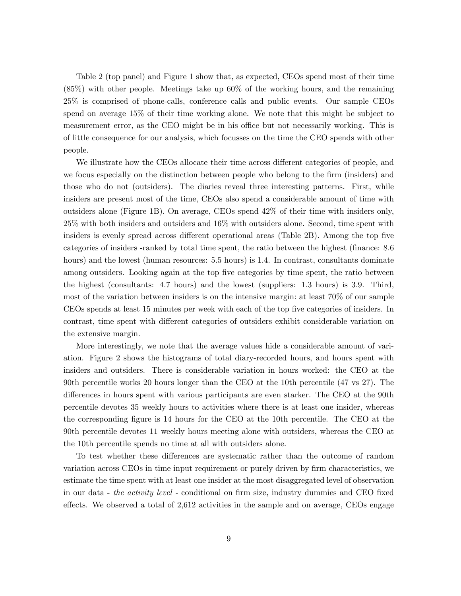Table 2 (top panel) and Figure 1 show that, as expected, CEOs spend most of their time (85%) with other people. Meetings take up 60% of the working hours, and the remaining 25% is comprised of phone-calls, conference calls and public events. Our sample CEOs spend on average 15% of their time working alone. We note that this might be subject to measurement error, as the CEO might be in his office but not necessarily working. This is of little consequence for our analysis, which focusses on the time the CEO spends with other people.

We illustrate how the CEOs allocate their time across different categories of people, and we focus especially on the distinction between people who belong to the firm (insiders) and those who do not (outsiders). The diaries reveal three interesting patterns. First, while insiders are present most of the time, CEOs also spend a considerable amount of time with outsiders alone (Figure 1B). On average, CEOs spend 42% of their time with insiders only, 25% with both insiders and outsiders and 16% with outsiders alone. Second, time spent with insiders is evenly spread across different operational areas (Table 2B). Among the top five categories of insiders -ranked by total time spent, the ratio between the highest (Önance: 8.6 hours) and the lowest (human resources: 5.5 hours) is 1.4. In contrast, consultants dominate among outsiders. Looking again at the top five categories by time spent, the ratio between the highest (consultants: 4.7 hours) and the lowest (suppliers: 1.3 hours) is 3.9. Third, most of the variation between insiders is on the intensive margin: at least 70% of our sample CEOs spends at least 15 minutes per week with each of the top Öve categories of insiders. In contrast, time spent with different categories of outsiders exhibit considerable variation on the extensive margin.

More interestingly, we note that the average values hide a considerable amount of variation. Figure 2 shows the histograms of total diary-recorded hours, and hours spent with insiders and outsiders. There is considerable variation in hours worked: the CEO at the 90th percentile works 20 hours longer than the CEO at the 10th percentile (47 vs 27). The differences in hours spent with various participants are even starker. The CEO at the 90th percentile devotes 35 weekly hours to activities where there is at least one insider, whereas the corresponding figure is 14 hours for the CEO at the 10th percentile. The CEO at the 90th percentile devotes 11 weekly hours meeting alone with outsiders, whereas the CEO at the 10th percentile spends no time at all with outsiders alone.

To test whether these differences are systematic rather than the outcome of random variation across CEOs in time input requirement or purely driven by firm characteristics, we estimate the time spent with at least one insider at the most disaggregated level of observation in our data - the activity level - conditional on firm size, industry dummies and CEO fixed effects. We observed a total of  $2,612$  activities in the sample and on average, CEOs engage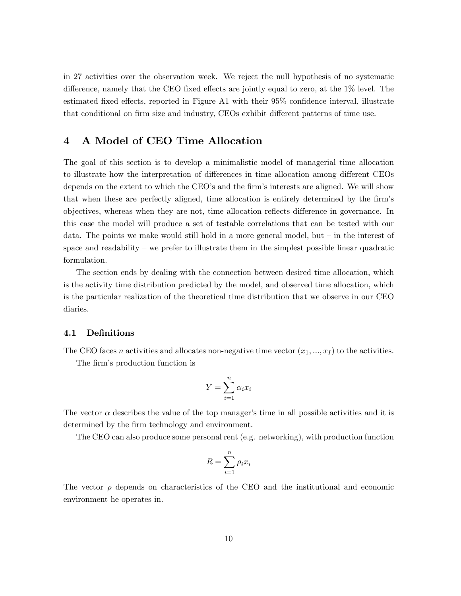in 27 activities over the observation week. We reject the null hypothesis of no systematic difference, namely that the CEO fixed effects are jointly equal to zero, at the  $1\%$  level. The estimated fixed effects, reported in Figure A1 with their  $95\%$  confidence interval, illustrate that conditional on firm size and industry, CEOs exhibit different patterns of time use.

## 4 A Model of CEO Time Allocation

The goal of this section is to develop a minimalistic model of managerial time allocation to illustrate how the interpretation of differences in time allocation among different CEOs depends on the extent to which the CEO's and the firm's interests are aligned. We will show that when these are perfectly aligned, time allocation is entirely determined by the firm's objectives, whereas when they are not, time allocation reflects difference in governance. In this case the model will produce a set of testable correlations that can be tested with our data. The points we make would still hold in a more general model, but  $-$  in the interest of space and readability  $-\infty$  prefer to illustrate them in the simplest possible linear quadratic formulation.

The section ends by dealing with the connection between desired time allocation, which is the activity time distribution predicted by the model, and observed time allocation, which is the particular realization of the theoretical time distribution that we observe in our CEO diaries.

#### 4.1 DeÖnitions

The CEO faces n activities and allocates non-negative time vector  $(x_1, ..., x_I)$  to the activities. The firm's production function is

$$
Y = \sum_{i=1}^{n} \alpha_i x_i
$$

The vector  $\alpha$  describes the value of the top manager's time in all possible activities and it is determined by the firm technology and environment.

The CEO can also produce some personal rent (e.g. networking), with production function

$$
R = \sum_{i=1}^{n} \rho_i x_i
$$

The vector  $\rho$  depends on characteristics of the CEO and the institutional and economic environment he operates in.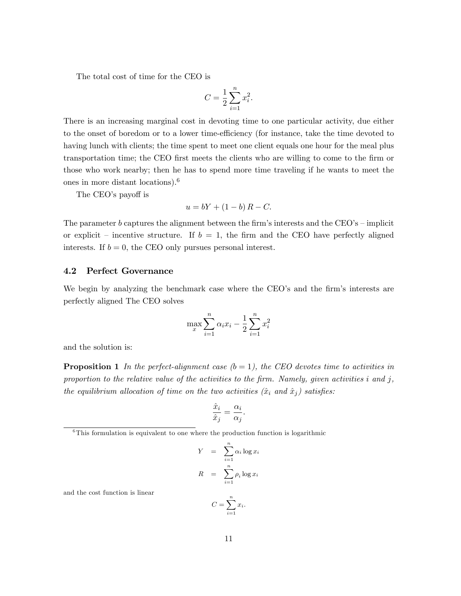The total cost of time for the CEO is

$$
C = \frac{1}{2} \sum_{i=1}^{n} x_i^2.
$$

There is an increasing marginal cost in devoting time to one particular activity, due either to the onset of boredom or to a lower time-efficiency (for instance, take the time devoted to having lunch with clients; the time spent to meet one client equals one hour for the meal plus transportation time; the CEO first meets the clients who are willing to come to the firm or those who work nearby; then he has to spend more time traveling if he wants to meet the ones in more distant locations).<sup>6</sup>

The CEO's payoff is

$$
u = bY + (1 - b) R - C.
$$

The parameter b captures the alignment between the firm's interests and the CEO's  $-$  implicit or explicit – incentive structure. If  $b = 1$ , the firm and the CEO have perfectly aligned interests. If  $b = 0$ , the CEO only pursues personal interest.

#### 4.2 Perfect Governance

We begin by analyzing the benchmark case where the CEO's and the firm's interests are perfectly aligned The CEO solves

$$
\max_{x} \sum_{i=1}^{n} \alpha_i x_i - \frac{1}{2} \sum_{i=1}^{n} x_i^2
$$

and the solution is:

**Proposition 1** In the perfect-alignment case  $(b = 1)$ , the CEO devotes time to activities in proportion to the relative value of the activities to the firm. Namely, given activities  $i$  and  $j$ , the equilibrium allocation of time on the two activities  $(\hat{x}_i$  and  $\hat{x}_j)$  satisfies:

$$
\frac{\hat{x}_i}{\hat{x}_j} = \frac{\alpha_i}{\alpha_j}.
$$

 $6$ This formulation is equivalent to one where the production function is logarithmic

$$
Y = \sum_{i=1}^{n} \alpha_i \log x_i
$$

$$
R = \sum_{i=1}^{n} \rho_i \log x_i
$$

and the cost function is linear

$$
C = \sum_{i=1}^{n} x_i.
$$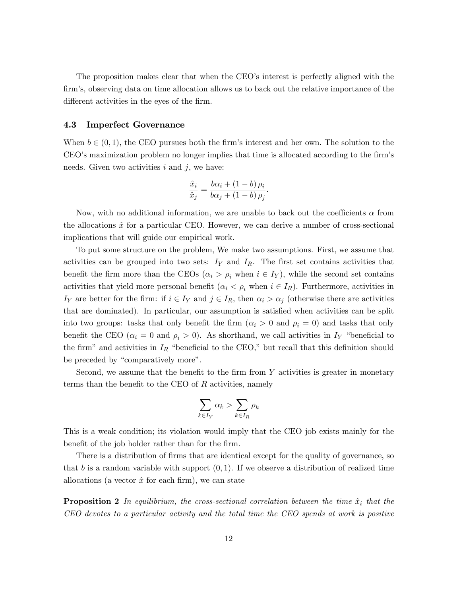The proposition makes clear that when the CEO's interest is perfectly aligned with the firm's, observing data on time allocation allows us to back out the relative importance of the different activities in the eyes of the firm.

#### 4.3 Imperfect Governance

When  $b \in (0, 1)$ , the CEO pursues both the firm's interest and her own. The solution to the CEO's maximization problem no longer implies that time is allocated according to the firm's needs. Given two activities  $i$  and  $j$ , we have:

$$
\frac{\hat{x}_i}{\hat{x}_j} = \frac{b\alpha_i + (1 - b)\,\rho_i}{b\alpha_j + (1 - b)\,\rho_j}.
$$

Now, with no additional information, we are unable to back out the coefficients  $\alpha$  from the allocations  $\hat{x}$  for a particular CEO. However, we can derive a number of cross-sectional implications that will guide our empirical work.

To put some structure on the problem, We make two assumptions. First, we assume that activities can be grouped into two sets:  $I_Y$  and  $I_R$ . The first set contains activities that benefit the firm more than the CEOs  $(\alpha_i > \rho_i)$  when  $i \in I_Y$ , while the second set contains activities that yield more personal benefit  $(\alpha_i < \rho_i)$  when  $i \in I_R$ ). Furthermore, activities in  $I_Y$  are better for the firm: if  $i \in I_Y$  and  $j \in I_R$ , then  $\alpha_i > \alpha_j$  (otherwise there are activities that are dominated). In particular, our assumption is satisfied when activities can be split into two groups: tasks that only benefit the firm  $(\alpha_i > 0 \text{ and } \rho_i = 0)$  and tasks that only benefit the CEO ( $\alpha_i = 0$  and  $\rho_i > 0$ ). As shorthand, we call activities in  $I_Y$  "beneficial to the firm" and activities in  $I_R$  "beneficial to the CEO," but recall that this definition should be preceded by "comparatively more".

Second, we assume that the benefit to the firm from  $Y$  activities is greater in monetary terms than the benefit to the CEO of  $R$  activities, namely

$$
\sum_{k\in I_Y}\alpha_k>\sum_{k\in I_R}\rho_k
$$

This is a weak condition; its violation would imply that the CEO job exists mainly for the benefit of the job holder rather than for the firm.

There is a distribution of firms that are identical except for the quality of governance, so that b is a random variable with support  $(0,1)$ . If we observe a distribution of realized time allocations (a vector  $\hat{x}$  for each firm), we can state

**Proposition 2** In equilibrium, the cross-sectional correlation between the time  $\hat{x}_i$  that the CEO devotes to a particular activity and the total time the CEO spends at work is positive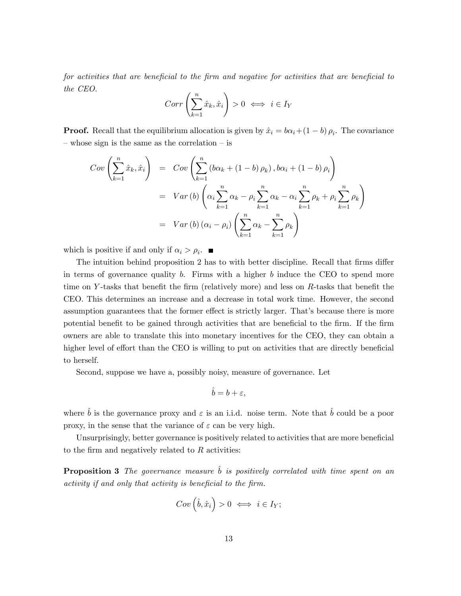for activities that are beneficial to the firm and negative for activities that are beneficial to the CEO.

$$
Corr\left(\sum_{k=1}^{n} \hat{x}_k, \hat{x}_i\right) > 0 \iff i \in I_Y
$$

**Proof.** Recall that the equilibrium allocation is given by  $\hat{x}_i = b\alpha_i + (1 - b)\rho_i$ . The covariance  $\sim$  whose sign is the same as the correlation  $\sim$  is

$$
Cov\left(\sum_{k=1}^{n} \hat{x}_k, \hat{x}_i\right) = Cov\left(\sum_{k=1}^{n} \left(b\alpha_k + (1-b)\rho_k\right), b\alpha_i + (1-b)\rho_i\right)
$$
  

$$
= Var\left(b\right)\left(\alpha_i \sum_{k=1}^{n} \alpha_k - \rho_i \sum_{k=1}^{n} \alpha_k - \alpha_i \sum_{k=1}^{n} \rho_k + \rho_i \sum_{k=1}^{n} \rho_k\right)
$$
  

$$
= Var\left(b\right)\left(\alpha_i - \rho_i\right)\left(\sum_{k=1}^{n} \alpha_k - \sum_{k=1}^{n} \rho_k\right)
$$

which is positive if and only if  $\alpha_i > \rho_i$ .

The intuition behind proposition 2 has to with better discipline. Recall that firms differ in terms of governance quality  $b$ . Firms with a higher  $b$  induce the CEO to spend more time on Y-tasks that benefit the firm (relatively more) and less on  $R$ -tasks that benefit the CEO. This determines an increase and a decrease in total work time. However, the second assumption guarantees that the former effect is strictly larger. That's because there is more potential benefit to be gained through activities that are beneficial to the firm. If the firm owners are able to translate this into monetary incentives for the CEO, they can obtain a higher level of effort than the CEO is willing to put on activities that are directly beneficial to herself.

Second, suppose we have a, possibly noisy, measure of governance. Let

$$
\hat{b} = b + \varepsilon,
$$

where  $\hat{b}$  is the governance proxy and  $\varepsilon$  is an i.i.d. noise term. Note that  $\hat{b}$  could be a poor proxy, in the sense that the variance of  $\varepsilon$  can be very high.

Unsurprisingly, better governance is positively related to activities that are more beneficial to the firm and negatively related to  $R$  activities:

**Proposition 3** The governance measure  $\hat{b}$  is positively correlated with time spent on an activity if and only that activity is beneficial to the firm.

$$
Cov\left(\hat{b}, \hat{x}_i\right) > 0 \iff i \in I_Y;
$$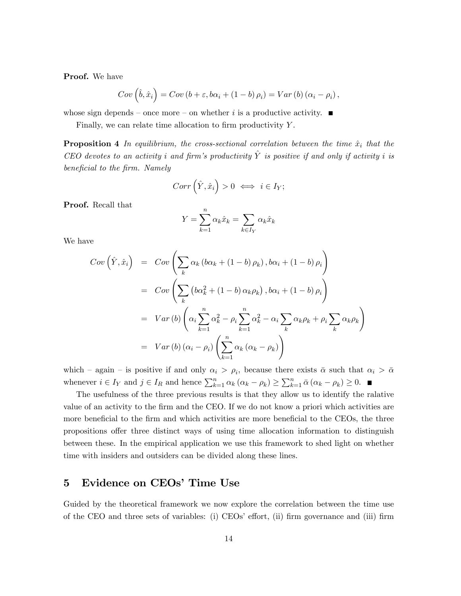Proof. We have

$$
Cov\left(\hat{b}, \hat{x}_i\right) = Cov\left(b + \varepsilon, b\alpha_i + (1 - b)\rho_i\right) = Var\left(b\right)\left(\alpha_i - \rho_i\right),\,
$$

whose sign depends – once more – on whether i is a productive activity.  $\blacksquare$ 

Finally, we can relate time allocation to firm productivity  $Y$ .

**Proposition 4** In equilibrium, the cross-sectional correlation between the time  $\hat{x}_i$  that the CEO devotes to an activity i and firm's productivity  $\hat{Y}$  is positive if and only if activity i is beneficial to the firm. Namely

$$
Corr\left(\hat{Y}, \hat{x}_i\right) > 0 \iff i \in I_Y;
$$

Proof. Recall that

$$
Y = \sum_{k=1}^{n} \alpha_k \hat{x}_k = \sum_{k \in I_Y} \alpha_k \hat{x}_k
$$

We have

$$
Cov\left(\hat{Y}, \hat{x}_i\right) = Cov\left(\sum_k \alpha_k \left(b\alpha_k + (1-b)\rho_k\right), b\alpha_i + (1-b)\rho_i\right)
$$
  

$$
= Cov\left(\sum_k \left(b\alpha_k^2 + (1-b)\alpha_k\rho_k\right), b\alpha_i + (1-b)\rho_i\right)
$$
  

$$
= Var\left(b\right)\left(\alpha_i \sum_{k=1}^n \alpha_k^2 - \rho_i \sum_{k=1}^n \alpha_k^2 - \alpha_i \sum_k \alpha_k\rho_k + \rho_i \sum_k \alpha_k\rho_k\right)
$$
  

$$
= Var\left(b\right)\left(\alpha_i - \rho_i\right)\left(\sum_{k=1}^n \alpha_k \left(\alpha_k - \rho_k\right)\right)
$$

which – again – is positive if and only  $\alpha_i > \rho_i$ , because there exists  $\bar{\alpha}$  such that  $\alpha_i > \bar{\alpha}$ whenever  $i \in I_Y$  and  $j \in I_R$  and hence  $\sum_{k=1}^n \alpha_k (\alpha_k - \rho_k) \ge \sum_{k=1}^n \bar{\alpha} (\alpha_k - \rho_k) \ge 0$ .

The usefulness of the three previous results is that they allow us to identify the ralative value of an activity to the Örm and the CEO. If we do not know a priori which activities are more beneficial to the firm and which activities are more beneficial to the CEOs, the three propositions offer three distinct ways of using time allocation information to distinguish between these. In the empirical application we use this framework to shed light on whether time with insiders and outsiders can be divided along these lines.

## 5 Evidence on CEOs' Time Use

Guided by the theoretical framework we now explore the correlation between the time use of the CEO and three sets of variables: (i) CEOs' effort, (ii) firm governance and (iii) firm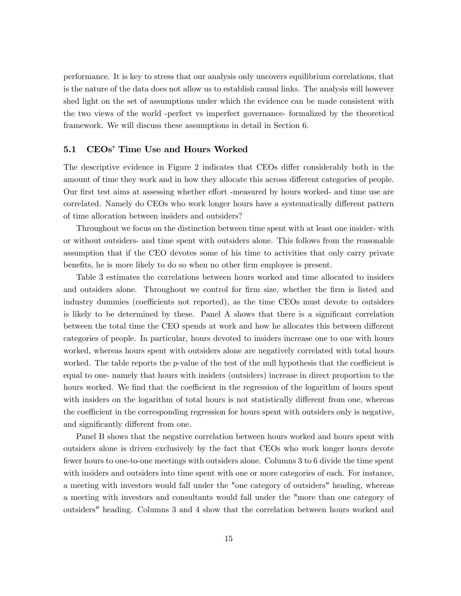performance. It is key to stress that our analysis only uncovers equilibrium correlations, that is the nature of the data does not allow us to establish causal links. The analysis will however shed light on the set of assumptions under which the evidence can be made consistent with the two views of the world -perfect vs imperfect governance- formalized by the theoretical framework. We will discuss these assumptions in detail in Section 6.

#### 5.1 CEOs' Time Use and Hours Worked

The descriptive evidence in Figure 2 indicates that CEOs differ considerably both in the amount of time they work and in how they allocate this across different categories of people. Our first test aims at assessing whether effort -measured by hours worked- and time use are correlated. Namely do CEOs who work longer hours have a systematically different pattern of time allocation between insiders and outsiders?

Throughout we focus on the distinction between time spent with at least one insider- with or without outsiders- and time spent with outsiders alone. This follows from the reasonable assumption that if the CEO devotes some of his time to activities that only carry private benefits, he is more likely to do so when no other firm employee is present.

Table 3 estimates the correlations between hours worked and time allocated to insiders and outsiders alone. Throughout we control for firm size, whether the firm is listed and industry dummies (coefficients not reported), as the time CEOs must devote to outsiders is likely to be determined by these. Panel A shows that there is a significant correlation between the total time the CEO spends at work and how he allocates this between different categories of people. In particular, hours devoted to insiders increase one to one with hours worked, whereas hours spent with outsiders alone are negatively correlated with total hours worked. The table reports the  $p$ -value of the test of the null hypothesis that the coefficient is equal to one- namely that hours with insiders (outsiders) increase in direct proportion to the hours worked. We find that the coefficient in the regression of the logarithm of hours spent with insiders on the logarithm of total hours is not statistically different from one, whereas the coefficient in the corresponding regression for hours spent with outsiders only is negative, and significantly different from one.

Panel B shows that the negative correlation between hours worked and hours spent with outsiders alone is driven exclusively by the fact that CEOs who work longer hours devote fewer hours to one-to-one meetings with outsiders alone. Columns 3 to 6 divide the time spent with insiders and outsiders into time spent with one or more categories of each. For instance, a meeting with investors would fall under the "one category of outsiders" heading, whereas a meeting with investors and consultants would fall under the "more than one category of outsiders" heading. Columns 3 and 4 show that the correlation between hours worked and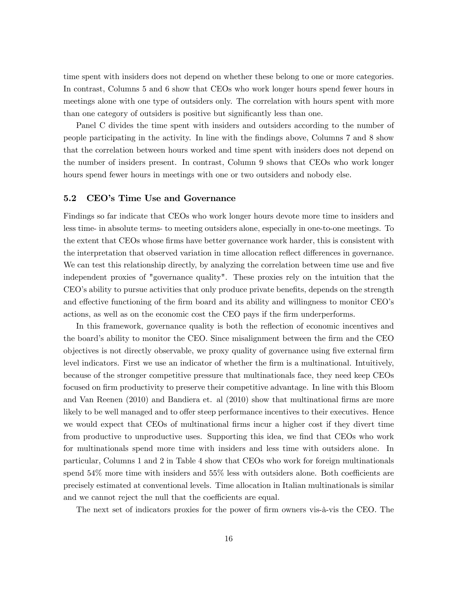time spent with insiders does not depend on whether these belong to one or more categories. In contrast, Columns 5 and 6 show that CEOs who work longer hours spend fewer hours in meetings alone with one type of outsiders only. The correlation with hours spent with more than one category of outsiders is positive but significantly less than one.

Panel C divides the time spent with insiders and outsiders according to the number of people participating in the activity. In line with the Öndings above, Columns 7 and 8 show that the correlation between hours worked and time spent with insiders does not depend on the number of insiders present. In contrast, Column 9 shows that CEOs who work longer hours spend fewer hours in meetings with one or two outsiders and nobody else.

#### 5.2 CEO's Time Use and Governance

Findings so far indicate that CEOs who work longer hours devote more time to insiders and less time- in absolute terms- to meeting outsiders alone, especially in one-to-one meetings. To the extent that CEOs whose firms have better governance work harder, this is consistent with the interpretation that observed variation in time allocation reflect differences in governance. We can test this relationship directly, by analyzing the correlation between time use and five independent proxies of "governance quality". These proxies rely on the intuition that the CEO's ability to pursue activities that only produce private benefits, depends on the strength and effective functioning of the firm board and its ability and willingness to monitor CEO's actions, as well as on the economic cost the CEO pays if the firm underperforms.

In this framework, governance quality is both the reflection of economic incentives and the board's ability to monitor the CEO. Since misalignment between the firm and the CEO objectives is not directly observable, we proxy quality of governance using five external firm level indicators. First we use an indicator of whether the firm is a multinational. Intuitively, because of the stronger competitive pressure that multinationals face, they need keep CEOs focused on firm productivity to preserve their competitive advantage. In line with this Bloom and Van Reenen  $(2010)$  and Bandiera et. al  $(2010)$  show that multinational firms are more likely to be well managed and to offer steep performance incentives to their executives. Hence we would expect that CEOs of multinational firms incur a higher cost if they divert time from productive to unproductive uses. Supporting this idea, we find that CEOs who work for multinationals spend more time with insiders and less time with outsiders alone. In particular, Columns 1 and 2 in Table 4 show that CEOs who work for foreign multinationals spend  $54\%$  more time with insiders and  $55\%$  less with outsiders alone. Both coefficients are precisely estimated at conventional levels. Time allocation in Italian multinationals is similar and we cannot reject the null that the coefficients are equal.

The next set of indicators proxies for the power of firm owners vis- $\ddot{\text{a}}$ -vis the CEO. The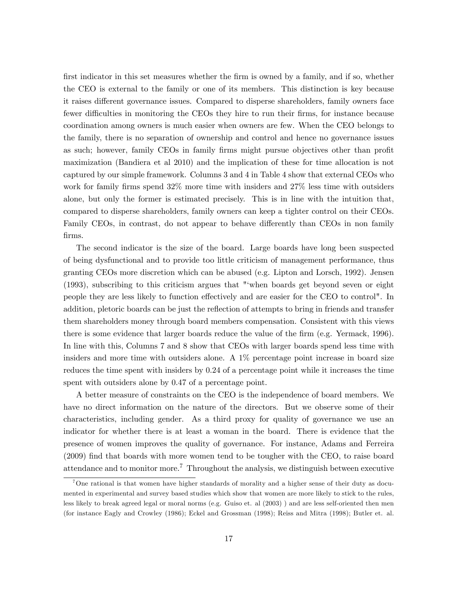first indicator in this set measures whether the firm is owned by a family, and if so, whether the CEO is external to the family or one of its members. This distinction is key because it raises different governance issues. Compared to disperse shareholders, family owners face fewer difficulties in monitoring the CEOs they hire to run their firms, for instance because coordination among owners is much easier when owners are few. When the CEO belongs to the family, there is no separation of ownership and control and hence no governance issues as such; however, family CEOs in family firms might pursue objectives other than profit maximization (Bandiera et al 2010) and the implication of these for time allocation is not captured by our simple framework. Columns 3 and 4 in Table 4 show that external CEOs who work for family firms spend  $32\%$  more time with insiders and  $27\%$  less time with outsiders alone, but only the former is estimated precisely. This is in line with the intuition that, compared to disperse shareholders, family owners can keep a tighter control on their CEOs. Family CEOs, in contrast, do not appear to behave differently than CEOs in non family firms.

The second indicator is the size of the board. Large boards have long been suspected of being dysfunctional and to provide too little criticism of management performance, thus granting CEOs more discretion which can be abused (e.g. Lipton and Lorsch, 1992). Jensen (1993), subscribing to this criticism argues that "ëwhen boards get beyond seven or eight people they are less likely to function effectively and are easier for the CEO to control". In addition, pletoric boards can be just the reflection of attempts to bring in friends and transfer them shareholders money through board members compensation. Consistent with this views there is some evidence that larger boards reduce the value of the firm (e.g. Yermack, 1996). In line with this, Columns 7 and 8 show that CEOs with larger boards spend less time with insiders and more time with outsiders alone. A 1% percentage point increase in board size reduces the time spent with insiders by 0.24 of a percentage point while it increases the time spent with outsiders alone by 0.47 of a percentage point.

A better measure of constraints on the CEO is the independence of board members. We have no direct information on the nature of the directors. But we observe some of their characteristics, including gender. As a third proxy for quality of governance we use an indicator for whether there is at least a woman in the board. There is evidence that the presence of women improves the quality of governance. For instance, Adams and Ferreira (2009) Önd that boards with more women tend to be tougher with the CEO, to raise board attendance and to monitor more.<sup>7</sup> Throughout the analysis, we distinguish between executive

<sup>7</sup>One rational is that women have higher standards of morality and a higher sense of their duty as documented in experimental and survey based studies which show that women are more likely to stick to the rules, less likely to break agreed legal or moral norms (e.g. Guiso et. al (2003) ) and are less self-oriented then men (for instance Eagly and Crowley (1986); Eckel and Grossman (1998); Reiss and Mitra (1998); Butler et. al.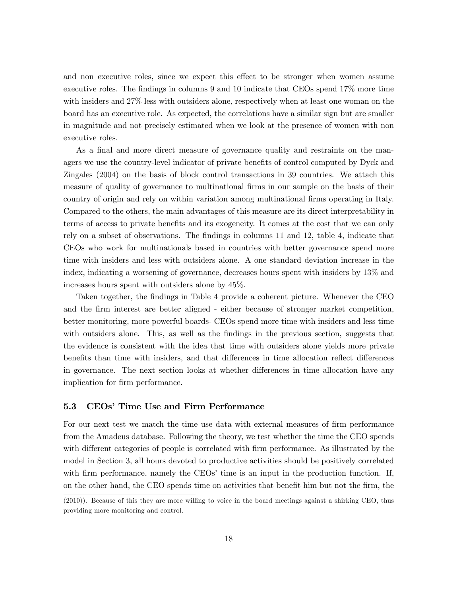and non executive roles, since we expect this effect to be stronger when women assume executive roles. The findings in columns 9 and 10 indicate that CEOs spend 17% more time with insiders and 27% less with outsiders alone, respectively when at least one woman on the board has an executive role. As expected, the correlations have a similar sign but are smaller in magnitude and not precisely estimated when we look at the presence of women with non executive roles.

As a final and more direct measure of governance quality and restraints on the managers we use the country-level indicator of private benefits of control computed by Dyck and Zingales (2004) on the basis of block control transactions in 39 countries. We attach this measure of quality of governance to multinational firms in our sample on the basis of their country of origin and rely on within variation among multinational firms operating in Italy. Compared to the others, the main advantages of this measure are its direct interpretability in terms of access to private benefits and its exogeneity. It comes at the cost that we can only rely on a subset of observations. The findings in columns 11 and 12, table 4, indicate that CEOs who work for multinationals based in countries with better governance spend more time with insiders and less with outsiders alone. A one standard deviation increase in the index, indicating a worsening of governance, decreases hours spent with insiders by 13% and increases hours spent with outsiders alone by 45%.

Taken together, the Öndings in Table 4 provide a coherent picture. Whenever the CEO and the firm interest are better aligned - either because of stronger market competition, better monitoring, more powerful boards- CEOs spend more time with insiders and less time with outsiders alone. This, as well as the findings in the previous section, suggests that the evidence is consistent with the idea that time with outsiders alone yields more private benefits than time with insiders, and that differences in time allocation reflect differences in governance. The next section looks at whether differences in time allocation have any implication for firm performance.

#### 5.3 CEOs' Time Use and Firm Performance

For our next test we match the time use data with external measures of firm performance from the Amadeus database. Following the theory, we test whether the time the CEO spends with different categories of people is correlated with firm performance. As illustrated by the model in Section 3, all hours devoted to productive activities should be positively correlated with firm performance, namely the CEOs' time is an input in the production function. If, on the other hand, the CEO spends time on activities that benefit him but not the firm, the

<sup>(2010)).</sup> Because of this they are more willing to voice in the board meetings against a shirking CEO, thus providing more monitoring and control.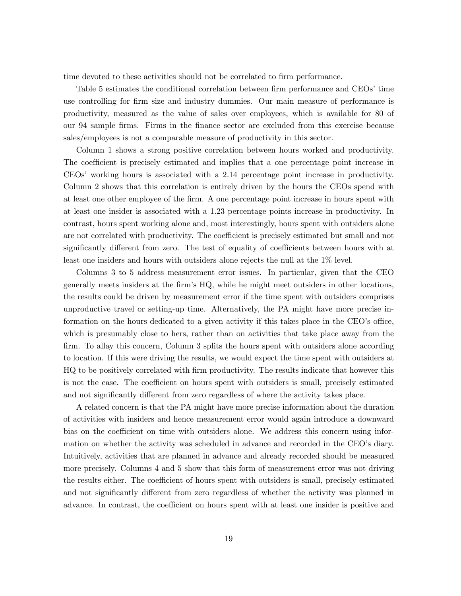time devoted to these activities should not be correlated to firm performance.

Table 5 estimates the conditional correlation between firm performance and CEOs' time use controlling for firm size and industry dummies. Our main measure of performance is productivity, measured as the value of sales over employees, which is available for 80 of our 94 sample Örms. Firms in the Önance sector are excluded from this exercise because sales/employees is not a comparable measure of productivity in this sector.

Column 1 shows a strong positive correlation between hours worked and productivity. The coefficient is precisely estimated and implies that a one percentage point increase in CEOsí working hours is associated with a 2.14 percentage point increase in productivity. Column 2 shows that this correlation is entirely driven by the hours the CEOs spend with at least one other employee of the Örm. A one percentage point increase in hours spent with at least one insider is associated with a 1.23 percentage points increase in productivity. In contrast, hours spent working alone and, most interestingly, hours spent with outsiders alone are not correlated with productivity. The coefficient is precisely estimated but small and not significantly different from zero. The test of equality of coefficients between hours with at least one insiders and hours with outsiders alone rejects the null at the 1% level.

Columns 3 to 5 address measurement error issues. In particular, given that the CEO generally meets insiders at the Örmís HQ, while he might meet outsiders in other locations, the results could be driven by measurement error if the time spent with outsiders comprises unproductive travel or setting-up time. Alternatively, the PA might have more precise information on the hours dedicated to a given activity if this takes place in the CEO's office, which is presumably close to hers, rather than on activities that take place away from the firm. To allay this concern, Column 3 splits the hours spent with outsiders alone according to location. If this were driving the results, we would expect the time spent with outsiders at HQ to be positively correlated with Örm productivity. The results indicate that however this is not the case. The coefficient on hours spent with outsiders is small, precisely estimated and not significantly different from zero regardless of where the activity takes place.

A related concern is that the PA might have more precise information about the duration of activities with insiders and hence measurement error would again introduce a downward bias on the coefficient on time with outsiders alone. We address this concern using information on whether the activity was scheduled in advance and recorded in the CEO's diary. Intuitively, activities that are planned in advance and already recorded should be measured more precisely. Columns 4 and 5 show that this form of measurement error was not driving the results either. The coefficient of hours spent with outsiders is small, precisely estimated and not significantly different from zero regardless of whether the activity was planned in advance. In contrast, the coefficient on hours spent with at least one insider is positive and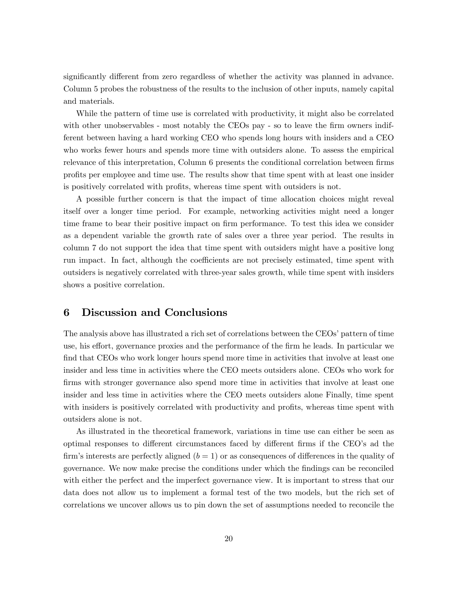significantly different from zero regardless of whether the activity was planned in advance. Column 5 probes the robustness of the results to the inclusion of other inputs, namely capital and materials.

While the pattern of time use is correlated with productivity, it might also be correlated with other unobservables - most notably the CEOs pay - so to leave the firm owners indifferent between having a hard working CEO who spends long hours with insiders and a CEO who works fewer hours and spends more time with outsiders alone. To assess the empirical relevance of this interpretation, Column 6 presents the conditional correlation between firms proÖts per employee and time use. The results show that time spent with at least one insider is positively correlated with profits, whereas time spent with outsiders is not.

A possible further concern is that the impact of time allocation choices might reveal itself over a longer time period. For example, networking activities might need a longer time frame to bear their positive impact on firm performance. To test this idea we consider as a dependent variable the growth rate of sales over a three year period. The results in column 7 do not support the idea that time spent with outsiders might have a positive long run impact. In fact, although the coefficients are not precisely estimated, time spent with outsiders is negatively correlated with three-year sales growth, while time spent with insiders shows a positive correlation.

#### 6 Discussion and Conclusions

The analysis above has illustrated a rich set of correlations between the CEOs' pattern of time use, his effort, governance proxies and the performance of the firm he leads. In particular we find that CEOs who work longer hours spend more time in activities that involve at least one insider and less time in activities where the CEO meets outsiders alone. CEOs who work for firms with stronger governance also spend more time in activities that involve at least one insider and less time in activities where the CEO meets outsiders alone Finally, time spent with insiders is positively correlated with productivity and profits, whereas time spent with outsiders alone is not.

As illustrated in the theoretical framework, variations in time use can either be seen as optimal responses to different circumstances faced by different firms if the CEO's ad the firm's interests are perfectly aligned  $(b = 1)$  or as consequences of differences in the quality of governance. We now make precise the conditions under which the findings can be reconciled with either the perfect and the imperfect governance view. It is important to stress that our data does not allow us to implement a formal test of the two models, but the rich set of correlations we uncover allows us to pin down the set of assumptions needed to reconcile the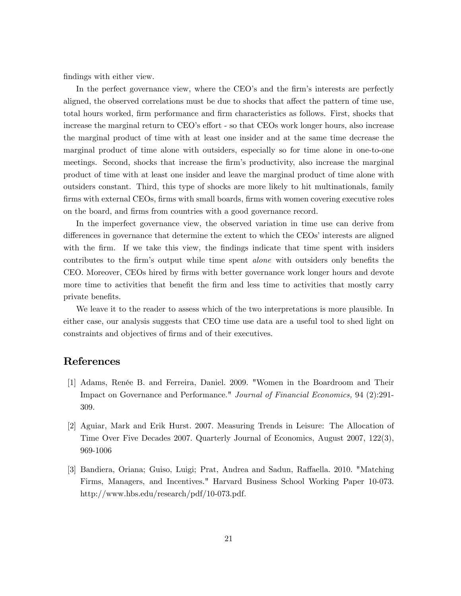findings with either view.

In the perfect governance view, where the CEO's and the firm's interests are perfectly aligned, the observed correlations must be due to shocks that affect the pattern of time use, total hours worked, Örm performance and Örm characteristics as follows. First, shocks that increase the marginal return to CEO's effort - so that CEOs work longer hours, also increase the marginal product of time with at least one insider and at the same time decrease the marginal product of time alone with outsiders, especially so for time alone in one-to-one meetings. Second, shocks that increase the firm's productivity, also increase the marginal product of time with at least one insider and leave the marginal product of time alone with outsiders constant. Third, this type of shocks are more likely to hit multinationals, family Örms with external CEOs, Örms with small boards, Örms with women covering executive roles on the board, and firms from countries with a good governance record.

In the imperfect governance view, the observed variation in time use can derive from differences in governance that determine the extent to which the CEOs' interests are aligned with the firm. If we take this view, the findings indicate that time spent with insiders contributes to the firm's output while time spent *alone* with outsiders only benefits the CEO. Moreover, CEOs hired by firms with better governance work longer hours and devote more time to activities that benefit the firm and less time to activities that mostly carry private benefits.

We leave it to the reader to assess which of the two interpretations is more plausible. In either case, our analysis suggests that CEO time use data are a useful tool to shed light on constraints and objectives of firms and of their executives.

## References

- [1] Adams, Renée B. and Ferreira, Daniel. 2009. "Women in the Boardroom and Their Impact on Governance and Performance." Journal of Financial Economics, 94 (2):291- 309.
- [2] Aguiar, Mark and Erik Hurst. 2007. Measuring Trends in Leisure: The Allocation of Time Over Five Decades 2007. Quarterly Journal of Economics, August 2007, 122(3), 969-1006
- [3] Bandiera, Oriana; Guiso, Luigi; Prat, Andrea and Sadun, Raffaella. 2010. "Matching Firms, Managers, and Incentives." Harvard Business School Working Paper 10-073. http://www.hbs.edu/research/pdf/10-073.pdf.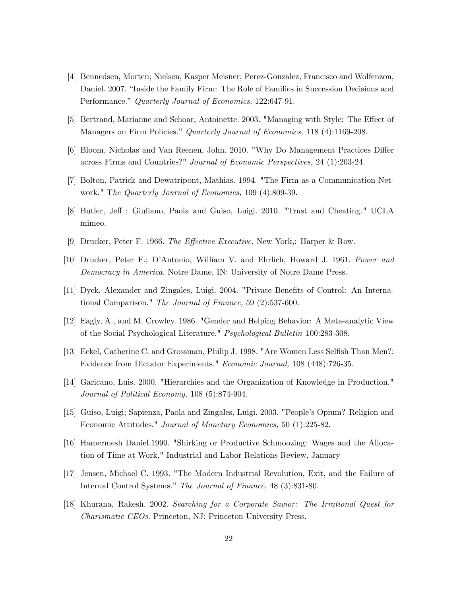- [4] Bennedsen, Morten; Nielsen, Kasper Meisner; Perez-Gonzalez, Francisco and Wolfenzon, Daniel. 2007. "Inside the Family Firm: The Role of Families in Succession Decisions and Performance." Quarterly Journal of Economics, 122:647-91.
- [5] Bertrand, Marianne and Schoar, Antoinette. 2003. "Managing with Style: The Effect of Managers on Firm Policies." Quarterly Journal of Economics, 118 (4):1169-208.
- [6] Bloom, Nicholas and Van Reenen, John. 2010. "Why Do Management Practices Differ across Firms and Countries?" Journal of Economic Perspectives, 24 (1):203-24.
- [7] Bolton, Patrick and Dewatripont, Mathias. 1994. "The Firm as a Communication Network." The Quarterly Journal of Economics, 109 (4):809-39.
- [8] Butler, Jeff; Giuliano, Paola and Guiso, Luigi. 2010. "Trust and Cheating." UCLA mimeo.
- [9] Drucker, Peter F. 1966. The Effective Executive. New York,: Harper & Row.
- [10] Drucker, Peter F.; DíAntonio, William V. and Ehrlich, Howard J. 1961. Power and Democracy in America. Notre Dame, IN: University of Notre Dame Press.
- [11] Dyck, Alexander and Zingales, Luigi. 2004. "Private Benefits of Control: An International Comparison." The Journal of Finance, 59 (2):537-600.
- [12] Eagly, A., and M. Crowley. 1986. "Gender and Helping Behavior: A Meta-analytic View of the Social Psychological Literature." Psychological Bulletin 100:283-308.
- [13] Eckel, Catherine C. and Grossman, Philip J. 1998. "Are Women Less Selfish Than Men?: Evidence from Dictator Experiments." Economic Journal, 108 (448):726-35.
- [14] Garicano, Luis. 2000. "Hierarchies and the Organization of Knowledge in Production." Journal of Political Economy, 108 (5):874-904.
- [15] Guiso, Luigi; Sapienza, Paola and Zingales, Luigi. 2003. "Peopleís Opium? Religion and Economic Attitudes." Journal of Monetary Economics, 50 (1):225-82.
- [16] Hamermesh Daniel.1990. "Shirking or Productive Schmoozing: Wages and the Allocation of Time at Work," Industrial and Labor Relations Review, January
- [17] Jensen, Michael C. 1993. "The Modern Industrial Revolution, Exit, and the Failure of Internal Control Systems." The Journal of Finance, 48 (3):831-80.
- [18] Khurana, Rakesh. 2002. Searching for a Corporate Savior: The Irrational Quest for Charismatic CEOs. Princeton, NJ: Princeton University Press.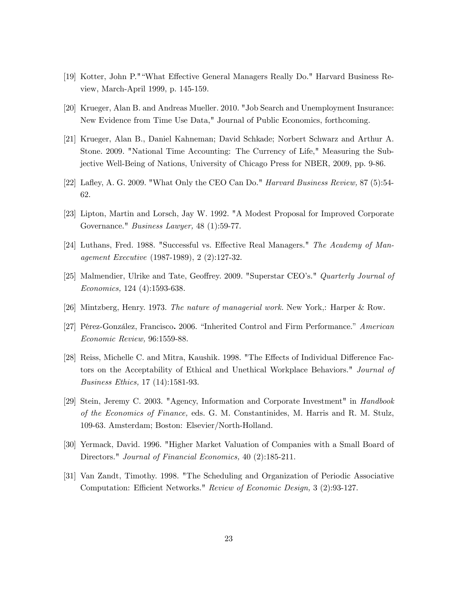- [19] Kotter, John P." "What Effective General Managers Really Do." Harvard Business Review, March-April 1999, p. 145-159.
- [20] Krueger, Alan B. and Andreas Mueller. 2010. "Job Search and Unemployment Insurance: New Evidence from Time Use Data," Journal of Public Economics, forthcoming.
- [21] Krueger, Alan B., Daniel Kahneman; David Schkade; Norbert Schwarz and Arthur A. Stone. 2009. "National Time Accounting: The Currency of Life," Measuring the Subjective Well-Being of Nations, University of Chicago Press for NBER, 2009, pp. 9-86.
- [22] Laáey, A. G. 2009. "What Only the CEO Can Do." Harvard Business Review, 87 (5):54- 62.
- [23] Lipton, Martin and Lorsch, Jay W. 1992. "A Modest Proposal for Improved Corporate Governance." Business Lawyer, 48 (1):59-77.
- [24] Luthans, Fred. 1988. "Successful vs. Effective Real Managers." The Academy of Management Executive (1987-1989), 2 (2):127-32.
- [25] Malmendier, Ulrike and Tate, Geoffrey. 2009. "Superstar CEO's." Quarterly Journal of Economics, 124 (4):1593-638.
- [26] Mintzberg, Henry. 1973. The nature of managerial work. New York,: Harper & Row.
- [27] Pérez-González, Francisco. 2006. "Inherited Control and Firm Performance." American Economic Review, 96:1559-88.
- [28] Reiss, Michelle C. and Mitra, Kaushik. 1998. "The Effects of Individual Difference Factors on the Acceptability of Ethical and Unethical Workplace Behaviors." Journal of Business Ethics, 17 (14):1581-93.
- [29] Stein, Jeremy C. 2003. "Agency, Information and Corporate Investment" in Handbook of the Economics of Finance, eds. G. M. Constantinides, M. Harris and R. M. Stulz, 109-63. Amsterdam; Boston: Elsevier/North-Holland.
- [30] Yermack, David. 1996. "Higher Market Valuation of Companies with a Small Board of Directors." Journal of Financial Economics, 40 (2):185-211.
- [31] Van Zandt, Timothy. 1998. "The Scheduling and Organization of Periodic Associative Computation: Efficient Networks." Review of Economic Design, 3 (2):93-127.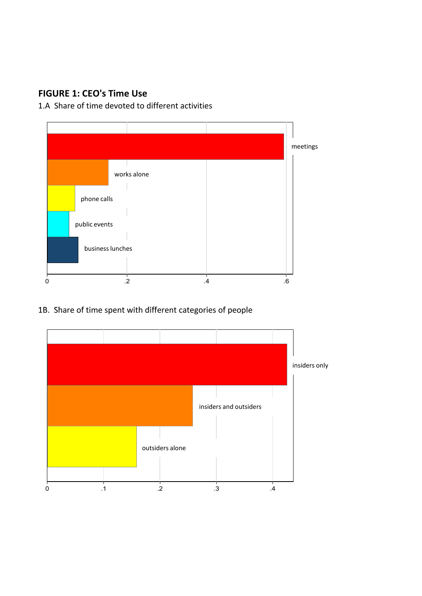## **FIGURE 1: CEO's Time Use**

1.A Share of time devoted to different activities



1B. Share of time spent with different categories of people

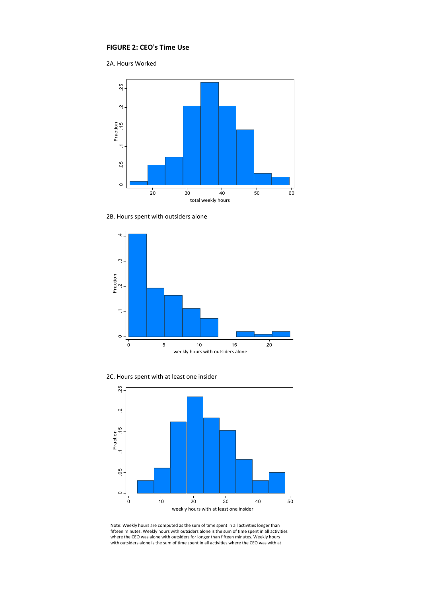#### **FIGURE 2: CEO's Time Use**

2A. Hours Worked



2B. Hours spent with outsiders alone



2C. Hours spent with at least one insider



Note: Weekly hours are computed as the sum of time spent in all activities longer than fifteen minutes. Weekly hours with outsiders alone is the sum of time spent in all activities where the CEO was alone with outsiders for longer than fifteen minutes. Weekly hours with outsiders alone is the sum of time spent in all activities where the CEO was with at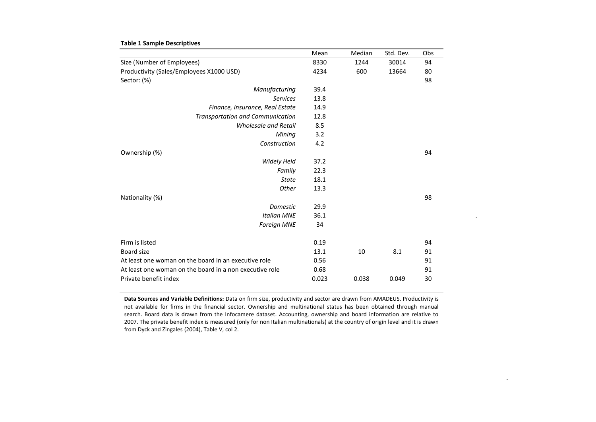|                                                         | Mean  | Median | Std. Dev. | Obs |
|---------------------------------------------------------|-------|--------|-----------|-----|
| Size (Number of Employees)                              | 8330  | 1244   | 30014     | 94  |
| Productivity (Sales/Employees X1000 USD)                | 4234  | 600    | 13664     | 80  |
| Sector: (%)                                             |       |        |           | 98  |
| Manufacturing                                           | 39.4  |        |           |     |
| Services                                                | 13.8  |        |           |     |
| Finance, Insurance, Real Estate                         | 14.9  |        |           |     |
| Transportation and Communication                        | 12.8  |        |           |     |
| <b>Wholesale and Retail</b>                             | 8.5   |        |           |     |
| Mining                                                  | 3.2   |        |           |     |
| Construction                                            | 4.2   |        |           |     |
| Ownership (%)                                           |       |        |           | 94  |
| <b>Widely Held</b>                                      | 37.2  |        |           |     |
| Family                                                  | 22.3  |        |           |     |
| <b>State</b>                                            | 18.1  |        |           |     |
| Other                                                   | 13.3  |        |           |     |
| Nationality (%)                                         |       |        |           | 98  |
| Domestic                                                | 29.9  |        |           |     |
| <b>Italian MNE</b>                                      | 36.1  |        |           |     |
| <b>Foreign MNE</b>                                      | 34    |        |           |     |
| Firm is listed                                          | 0.19  |        |           | 94  |
| Board size                                              | 13.1  | 10     | 8.1       | 91  |
| At least one woman on the board in an executive role    | 0.56  |        |           | 91  |
| At least one woman on the board in a non executive role | 0.68  |        |           | 91  |
| Private benefit index                                   | 0.023 | 0.038  | 0.049     | 30  |

#### **Table 1 Sample Descriptives**

**Data Sources and Variable Definitions:** Data on firm size, productivity and sector are drawn from AMADEUS. Productivity is not available for firms in the financial sector. Ownership and multinational status has been obtained through manual search. Board data is drawn from the Infocamere dataset. Accounting, ownership and board information are relative to 2007. The private benefit index is measured (only for non Italian multinationals) at the country of origin level and it is drawn from Dyck and Zingales (2004), Table V, col 2.

.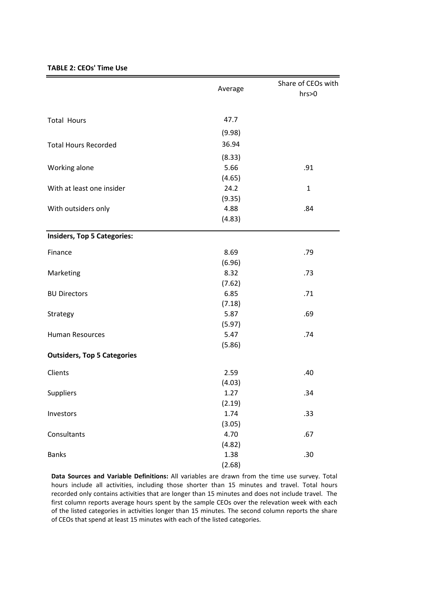#### **TABLE 2: CEOs' Time Use**

|                                    | Average | Share of CEOs with<br>hrs>0 |
|------------------------------------|---------|-----------------------------|
| <b>Total Hours</b>                 | 47.7    |                             |
|                                    | (9.98)  |                             |
| <b>Total Hours Recorded</b>        | 36.94   |                             |
|                                    | (8.33)  |                             |
| Working alone                      | 5.66    | .91                         |
|                                    | (4.65)  |                             |
| With at least one insider          | 24.2    | $\mathbf{1}$                |
|                                    | (9.35)  |                             |
| With outsiders only                | 4.88    | .84                         |
|                                    | (4.83)  |                             |
| <b>Insiders, Top 5 Categories:</b> |         |                             |
| Finance                            | 8.69    | .79                         |
|                                    | (6.96)  |                             |
| Marketing                          | 8.32    | .73                         |
|                                    | (7.62)  |                             |
| <b>BU Directors</b>                | 6.85    | .71                         |
|                                    | (7.18)  |                             |
| Strategy                           | 5.87    | .69                         |
|                                    | (5.97)  |                             |
| <b>Human Resources</b>             | 5.47    | .74                         |
|                                    | (5.86)  |                             |
| <b>Outsiders, Top 5 Categories</b> |         |                             |
| Clients                            | 2.59    | .40                         |
|                                    | (4.03)  |                             |
| Suppliers                          | 1.27    | .34                         |
|                                    | (2.19)  |                             |
| Investors                          | 1.74    | .33                         |
|                                    | (3.05)  |                             |
| Consultants                        | 4.70    | .67                         |
|                                    | (4.82)  |                             |
| <b>Banks</b>                       | 1.38    | .30                         |
|                                    | (2.68)  |                             |

**Data Sources and Variable Definitions:** All variables are drawn from the time use survey. Total hours include all activities, including those shorter than 15 minutes and travel. Total hours recorded only contains activities that are longer than 15 minutes and does not include travel. The first column reports average hours spent by the sample CEOs over the relevation week with each of the listed categories in activities longer than 15 minutes. The second column reports the share of CEOs that spend at least 15 minutes with each of the listed categories.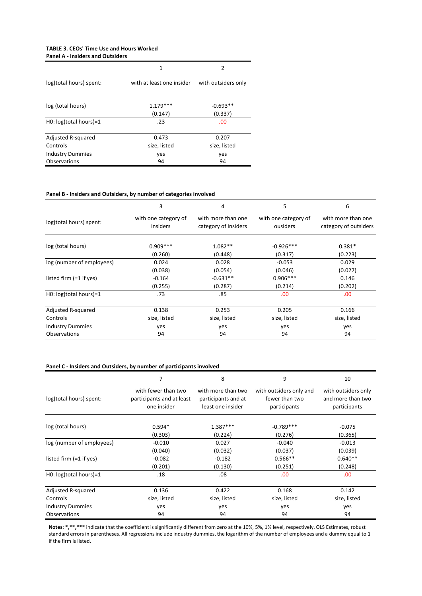#### **TABLE 3. CEOs' Time Use and Hours Worked Panel A** - Insiders and Outsiders

|                          | 1                         | 2                     |
|--------------------------|---------------------------|-----------------------|
| log(total hours) spent:  | with at least one insider | with outsiders only   |
| log (total hours)        | $1.179***$<br>(0.147)     | $-0.693**$<br>(0.337) |
| $H0:$ log(total hours)=1 | .23                       | .00                   |
| Adjusted R-squared       | 0.473                     | 0.207                 |
| Controls                 | size, listed              | size, listed          |
| <b>Industry Dummies</b>  | yes                       | yes                   |
| <b>Observations</b>      | 94                        | 94                    |

#### **Panel BͲInsiders and Outsiders, by number of categories involved**

|                            | 3                                | 4                                          | 5                                | 6                                           |
|----------------------------|----------------------------------|--------------------------------------------|----------------------------------|---------------------------------------------|
| log(total hours) spent:    | with one category of<br>insiders | with more than one<br>category of insiders | with one category of<br>ousiders | with more than one<br>category of outsiders |
| log (total hours)          | $0.909***$                       | $1.082**$                                  | $-0.926***$                      | $0.381*$                                    |
|                            | (0.260)                          | (0.448)                                    | (0.317)                          | (0.223)                                     |
| log (number of employees)  | 0.024                            | 0.028                                      | $-0.053$                         | 0.029                                       |
|                            | (0.038)                          | (0.054)                                    | (0.046)                          | (0.027)                                     |
| listed firm (=1 if yes)    | $-0.164$                         | $-0.631**$                                 | $0.906***$                       | 0.146                                       |
|                            | (0.255)                          | (0.287)                                    | (0.214)                          | (0.202)                                     |
| $H0: log(total hours) = 1$ | .73                              | .85                                        | .00                              | .00.                                        |
| Adjusted R-squared         | 0.138                            | 0.253                                      | 0.205                            | 0.166                                       |
| Controls                   | size, listed                     | size, listed                               | size, listed                     | size, listed                                |
| <b>Industry Dummies</b>    | yes                              | yes                                        | yes                              | yes                                         |
| <b>Observations</b>        | 94                               | 94                                         | 94                               | 94                                          |

#### **Panel CͲInsiders and Outsiders, by number of participants involved**

|                            |                                                                 | 8                                                              | 9                                                         | 10                                                       |
|----------------------------|-----------------------------------------------------------------|----------------------------------------------------------------|-----------------------------------------------------------|----------------------------------------------------------|
| log(total hours) spent:    | with fewer than two<br>participants and at least<br>one insider | with more than two<br>participants and at<br>least one insider | with outsiders only and<br>fewer than two<br>participants | with outsiders only<br>and more than two<br>participants |
| log (total hours)          | $0.594*$                                                        | $1.387***$                                                     | $-0.789***$                                               | $-0.075$                                                 |
|                            | (0.303)                                                         | (0.224)                                                        | (0.276)                                                   | (0.365)                                                  |
| log (number of employees)  | $-0.010$                                                        | 0.027                                                          | $-0.040$                                                  | $-0.013$                                                 |
|                            | (0.040)                                                         | (0.032)                                                        | (0.037)                                                   | (0.039)                                                  |
| listed firm $(=1$ if yes)  | $-0.082$                                                        | $-0.182$                                                       | $0.566**$                                                 | $0.640**$                                                |
|                            | (0.201)                                                         | (0.130)                                                        | (0.251)                                                   | (0.248)                                                  |
| $H0: log(total hours) = 1$ | .18                                                             | .08                                                            | .00                                                       | .00.                                                     |
| Adjusted R-squared         | 0.136                                                           | 0.422                                                          | 0.168                                                     | 0.142                                                    |
| Controls                   | size, listed                                                    | size, listed                                                   | size, listed                                              | size, listed                                             |
| <b>Industry Dummies</b>    | yes                                                             | yes                                                            | yes                                                       | yes                                                      |
| <b>Observations</b>        | 94                                                              | 94                                                             | 94                                                        | 94                                                       |

**Notes: \*,\*\*,\*\*\*** indicate that the coefficient is significantly different from zero at the 10%, 5%, 1% level, respectively. OLS Estimates, robust standard errors in parentheses. All regressions include industry dummies, the logarithm of the number of employees and a dummy equal to 1 if the firm is listed.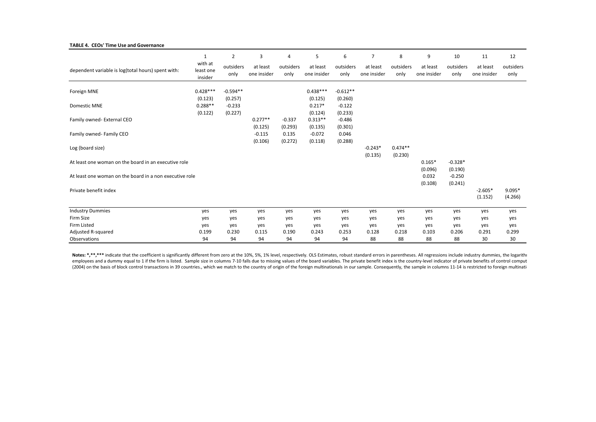|                                                         | 1                               | $\overline{2}$        | 3                       | 4                   | 5                       | 6                     | $\overline{7}$          | 8                    | 9                       | 10                   | 11                      | 12                |
|---------------------------------------------------------|---------------------------------|-----------------------|-------------------------|---------------------|-------------------------|-----------------------|-------------------------|----------------------|-------------------------|----------------------|-------------------------|-------------------|
| dependent variable is log(total hours) spent with:      | with at<br>least one<br>insider | outsiders<br>only     | at least<br>one insider | outsiders<br>only   | at least<br>one insider | outsiders<br>only     | at least<br>one insider | outsiders<br>only    | at least<br>one insider | outsiders<br>only    | at least<br>one insider | outsiders<br>only |
| Foreign MNE                                             | $0.428***$<br>(0.123)           | $-0.594**$<br>(0.257) |                         |                     | $0.438***$<br>(0.125)   | $-0.612**$<br>(0.260) |                         |                      |                         |                      |                         |                   |
| Domestic MNE                                            | $0.288**$<br>(0.122)            | $-0.233$<br>(0.227)   |                         |                     | $0.217*$<br>(0.124)     | $-0.122$<br>(0.233)   |                         |                      |                         |                      |                         |                   |
| Family owned- External CEO                              |                                 |                       | $0.277**$<br>(0.125)    | $-0.337$<br>(0.293) | $0.313**$<br>(0.135)    | $-0.486$<br>(0.301)   |                         |                      |                         |                      |                         |                   |
| Family owned- Family CEO                                |                                 |                       | $-0.115$<br>(0.106)     | 0.135<br>(0.272)    | $-0.072$<br>(0.118)     | 0.046<br>(0.288)      |                         |                      |                         |                      |                         |                   |
| Log (board size)                                        |                                 |                       |                         |                     |                         |                       | $-0.243*$<br>(0.135)    | $0.474**$<br>(0.230) |                         |                      |                         |                   |
| At least one woman on the board in an executive role    |                                 |                       |                         |                     |                         |                       |                         |                      | $0.165*$<br>(0.096)     | $-0.328*$<br>(0.190) |                         |                   |
| At least one woman on the board in a non executive role |                                 |                       |                         |                     |                         |                       |                         |                      | 0.032<br>(0.108)        | $-0.250$<br>(0.241)  |                         |                   |
| Private benefit index                                   |                                 |                       |                         |                     |                         |                       |                         |                      |                         |                      | $-2.605*$<br>(1.152)    | 9.095*<br>(4.266) |
| <b>Industry Dummies</b>                                 | yes                             | yes                   | yes                     | yes                 | yes                     | yes                   | yes                     | yes                  | yes                     | yes                  | yes                     | yes               |
| Firm Size                                               | yes                             | yes                   | yes                     | yes                 | yes                     | yes                   | yes                     | yes                  | yes                     | yes                  | yes                     | yes               |
| Firm Listed                                             | yes                             | yes                   | yes                     | yes                 | yes                     | yes                   | yes                     | yes                  | yes                     | yes                  | yes                     | yes               |
| Adjusted R-squared                                      | 0.199                           | 0.230                 | 0.115                   | 0.190               | 0.243                   | 0.253                 | 0.128                   | 0.218                | 0.103                   | 0.206                | 0.291                   | 0.299             |
| Observations                                            | 94                              | 94                    | 94                      | 94                  | 94                      | 94                    | 88                      | 88                   | 88                      | 88                   | 30                      | 30                |

Notes: \*,\*\*,\*\*\* indicate that the coefficient is significantly different from zero at the 10%, 5%, 1% level, respectively. OLS Estimates, robust standard errors in parentheses. All regressions include industry dummies, the employees and a dummy equal to 1 if the firm is listed. Sample size in columns 7-10 falls due to missing values of the board variables. The private benefit index is the country-level indicator of private benefits of contro (2004) on the basis of block control transactions in 39 countries., which we match to the country of origin of the foreign multinationals in our sample. Consequently, the sample in columns 11-14 is restricted to foreign mu

#### **TABLE 4.CEOs' Time Use and Governance**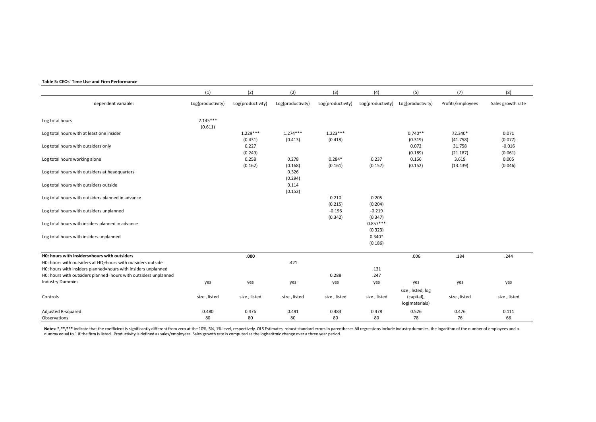#### **Table 5: CEOs' Time Use and Firm Performance**

|                                                                 | (1)               | (2)               | (2)               | (3)                 | (4)                 | (5)                          | (7)               | (8)               |
|-----------------------------------------------------------------|-------------------|-------------------|-------------------|---------------------|---------------------|------------------------------|-------------------|-------------------|
| dependent variable:                                             | Log(productivity) | Log(productivity) | Log(productivity) | Log(productivity)   | Log(productivity)   | Log(productivity)            | Profits/Employees | Sales growth rate |
| Log total hours                                                 | $2.145***$        |                   |                   |                     |                     |                              |                   |                   |
| Log total hours with at least one insider                       | (0.611)           | $1.229***$        | $1.274***$        | $1.223***$          |                     | $0.740**$                    | 72.340*           | 0.071             |
|                                                                 |                   | (0.431)           | (0.413)           | (0.418)             |                     | (0.319)                      | (41.758)          | (0.077)           |
| Log total hours with outsiders only                             |                   | 0.227             |                   |                     |                     | 0.072                        | 31.758            | $-0.016$          |
|                                                                 |                   | (0.249)           |                   |                     |                     | (0.189)                      | (21.187)          | (0.061)           |
| Log total hours working alone                                   |                   | 0.258             | 0.278             | $0.284*$            | 0.237               | 0.166                        | 3.619             | 0.005             |
|                                                                 |                   | (0.162)           | (0.168)           | (0.161)             | (0.157)             | (0.152)                      | (13.439)          | (0.046)           |
| Log total hours with outsiders at headquarters                  |                   |                   | 0.326             |                     |                     |                              |                   |                   |
|                                                                 |                   |                   | (0.294)           |                     |                     |                              |                   |                   |
| Log total hours with outsiders outside                          |                   |                   | 0.114             |                     |                     |                              |                   |                   |
|                                                                 |                   |                   | (0.152)           |                     |                     |                              |                   |                   |
| Log total hours with outsiders planned in advance               |                   |                   |                   | 0.210               | 0.205               |                              |                   |                   |
|                                                                 |                   |                   |                   | (0.215)             | (0.204)             |                              |                   |                   |
| Log total hours with outsiders unplanned                        |                   |                   |                   | $-0.196$<br>(0.342) | $-0.219$<br>(0.347) |                              |                   |                   |
| Log total hours with insiders planned in advance                |                   |                   |                   |                     | $0.857***$          |                              |                   |                   |
|                                                                 |                   |                   |                   |                     | (0.323)             |                              |                   |                   |
| Log total hours with insiders unplanned                         |                   |                   |                   |                     | $0.340*$            |                              |                   |                   |
|                                                                 |                   |                   |                   |                     | (0.186)             |                              |                   |                   |
|                                                                 |                   |                   |                   |                     |                     |                              |                   |                   |
| H0: hours with insiders=hours with outsiders                    |                   | .000              |                   |                     |                     | .006                         | .184              | .244              |
| HO: hours with outsiders at HQ=hours with outsiders outside     |                   |                   | .421              |                     |                     |                              |                   |                   |
| H0: hours with insiders planned=hours with insiders unplanned   |                   |                   |                   |                     | .131                |                              |                   |                   |
| H0: hours with outsiders planned=hours with outsiders unplanned |                   |                   |                   | 0.288               | .247                |                              |                   |                   |
| <b>Industry Dummies</b>                                         | yes               | yes               | yes               | yes                 | yes                 | yes                          | yes               | yes               |
|                                                                 |                   |                   |                   |                     |                     | size, listed, log            |                   |                   |
| Controls                                                        | size, listed      | size, listed      | size, listed      | size, listed        | size, listed        | (capital),<br>log(materials) | size, listed      | size, listed      |
| Adjusted R-squared                                              | 0.480             | 0.476             | 0.491             | 0.483               | 0.478               | 0.526                        | 0.476             | 0.111             |
| Observations                                                    | 80                | 80                | 80                | 80                  | 80                  | 78                           | 76                | 66                |

Notes: \*,\*\*,\*\*\* indicate that the coefficient is significantly different from zero at the 10%, 5%, 1% level, respectively. OLS Estimates, robust standard errors in parentheses.All regressions include industry dummies, the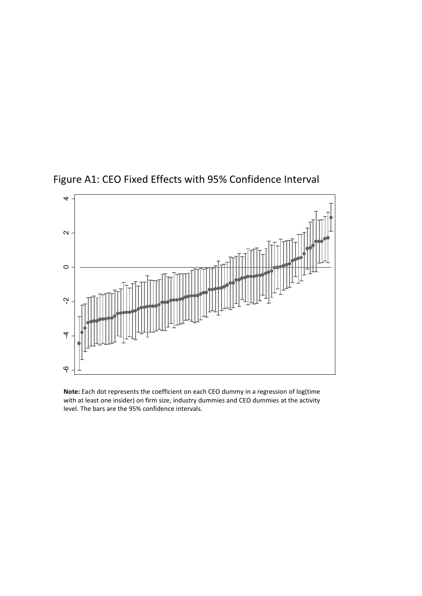

Figure A1: CEO Fixed Effects with 95% Confidence Interval

**Note:** Each dot represents the coefficient on each CEO dummy in a regression of log(time with at least one insider) on firm size, industry dummies and CEO dummies at the activity level. The bars are the 95% confidence intervals.